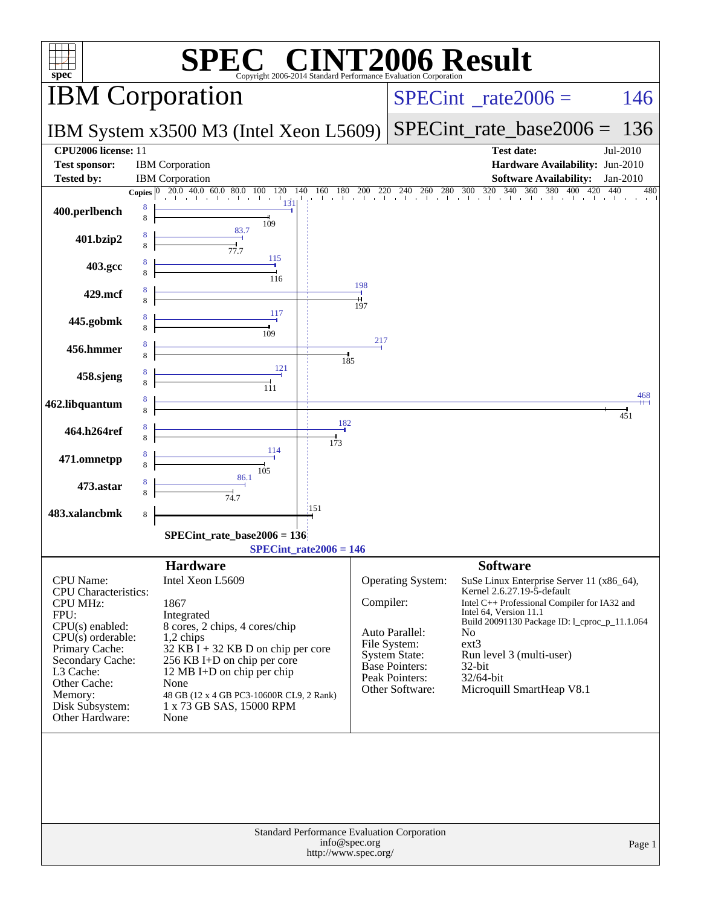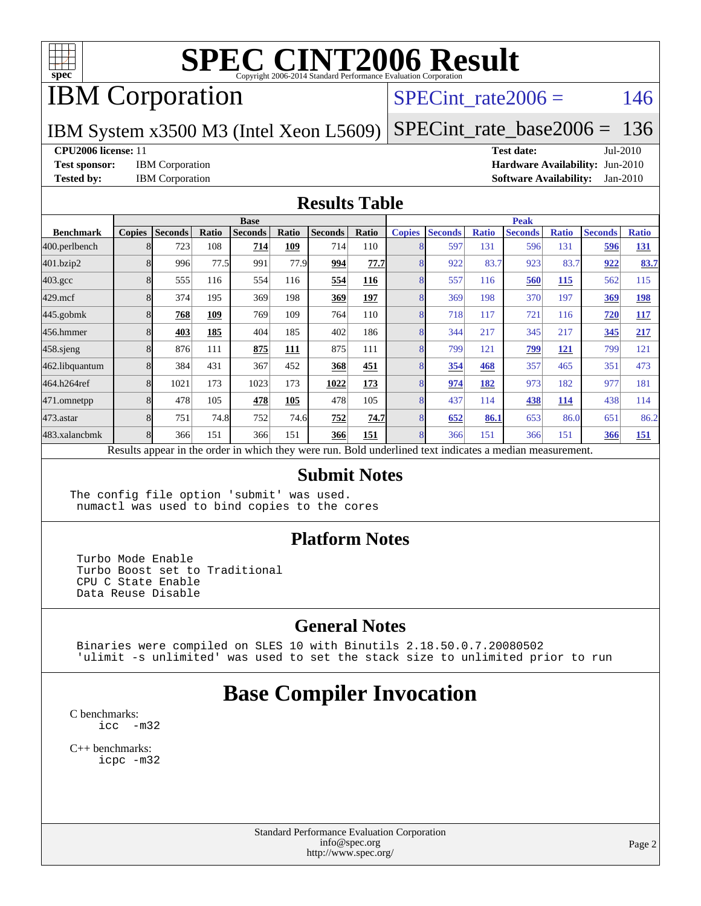

## IBM Corporation

#### SPECint rate $2006 = 146$

IBM System x3500 M3 (Intel Xeon L5609)

[SPECint\\_rate\\_base2006 =](http://www.spec.org/auto/cpu2006/Docs/result-fields.html#SPECintratebase2006) 136

**[CPU2006 license:](http://www.spec.org/auto/cpu2006/Docs/result-fields.html#CPU2006license)** 11 **[Test date:](http://www.spec.org/auto/cpu2006/Docs/result-fields.html#Testdate)** Jul-2010

**[Test sponsor:](http://www.spec.org/auto/cpu2006/Docs/result-fields.html#Testsponsor)** IBM Corporation **[Hardware Availability:](http://www.spec.org/auto/cpu2006/Docs/result-fields.html#HardwareAvailability)** Jun-2010 **[Tested by:](http://www.spec.org/auto/cpu2006/Docs/result-fields.html#Testedby)** IBM Corporation **[Software Availability:](http://www.spec.org/auto/cpu2006/Docs/result-fields.html#SoftwareAvailability)** Jan-2010

#### **[Results Table](http://www.spec.org/auto/cpu2006/Docs/result-fields.html#ResultsTable)**

|                    | <b>Base</b>   |                |       |                |       |                |             |               | <b>Peak</b>    |              |                                                                                                          |              |                |              |  |
|--------------------|---------------|----------------|-------|----------------|-------|----------------|-------------|---------------|----------------|--------------|----------------------------------------------------------------------------------------------------------|--------------|----------------|--------------|--|
| <b>Benchmark</b>   | <b>Copies</b> | <b>Seconds</b> | Ratio | <b>Seconds</b> | Ratio | <b>Seconds</b> | Ratio       | <b>Copies</b> | <b>Seconds</b> | <b>Ratio</b> | <b>Seconds</b>                                                                                           | <b>Ratio</b> | <b>Seconds</b> | <b>Ratio</b> |  |
| 400.perlbench      | 8             | 723            | 108   | 714            | 109   | 714            | 110         | 8             | 597            | 131          | 596                                                                                                      | 131          | 596            | 131          |  |
| 401.bzip2          | 8             | 996            | 77.5  | 991            | 77.9  | 994            | 77.7I       | 8             | 922            | 83.7         | 923                                                                                                      | 83.7         | 922            | 83.7         |  |
| $403.\mathrm{gcc}$ | 8             | 555            | 116   | 554            | 116   | 554            | 116         | 8             | 557            | 116          | 560                                                                                                      | 115          | 562            | 115          |  |
| $429$ .mcf         | 8             | 374            | 195   | 369            | 198   | 369            | 197         | 8             | 369            | 198          | 370                                                                                                      | 197          | 369            | 198          |  |
| $445$ .gobmk       | 8             | 768            | 109   | 769            | 109   | 764            | 110         | 8             | 718            | 117          | 721                                                                                                      | 116          | 720            | <b>117</b>   |  |
| 456.hmmer          | 8             | 403            | 185   | 404            | 185   | 402            | 186         | 8             | 344            | 217          | 345                                                                                                      | 217          | 345            | 217          |  |
| $458$ .sjeng       | 8             | 876            | 111   | 875            | 111   | 875            | 111         | 8             | 799            | 121          | 799                                                                                                      | 121          | 799            | 121          |  |
| 462.libquantum     | 8             | 384            | 431   | 367            | 452   | 368            | 451         | 8             | 354            | 468          | 357                                                                                                      | 465          | 351            | 473          |  |
| 464.h264ref        | 8             | 1021           | 173   | 1023           | 173   | 1022           | 173         | 8             | 974            | 182          | 973                                                                                                      | 182          | 977            | 181          |  |
| 471.omnetpp        | 8             | 478            | 105   | 478            | 105   | 478            | 105         | 8             | 437            | 114          | 438                                                                                                      | 114          | 438            | 114          |  |
| $473.$ astar       | 8             | 751            | 74.8  | 752            | 74.6  | 752            | <b>74.7</b> | 8             | 652            | 86.1         | 653                                                                                                      | 86.0         | 651            | 86.2         |  |
| 483.xalancbmk      | 8             | 366            | 151   | 366            | 151   | 366            | 151         | 8             | 366            | 151          | 366                                                                                                      | 151          | 366            | <u>151</u>   |  |
|                    |               |                |       |                |       |                |             |               |                |              | Results appear in the order in which they were run. Bold underlined text indicates a median measurement. |              |                |              |  |

#### **[Submit Notes](http://www.spec.org/auto/cpu2006/Docs/result-fields.html#SubmitNotes)**

The config file option 'submit' was used. numactl was used to bind copies to the cores

#### **[Platform Notes](http://www.spec.org/auto/cpu2006/Docs/result-fields.html#PlatformNotes)**

 Turbo Mode Enable Turbo Boost set to Traditional CPU C State Enable Data Reuse Disable

#### **[General Notes](http://www.spec.org/auto/cpu2006/Docs/result-fields.html#GeneralNotes)**

 Binaries were compiled on SLES 10 with Binutils 2.18.50.0.7.20080502 'ulimit -s unlimited' was used to set the stack size to unlimited prior to run

## **[Base Compiler Invocation](http://www.spec.org/auto/cpu2006/Docs/result-fields.html#BaseCompilerInvocation)**

[C benchmarks](http://www.spec.org/auto/cpu2006/Docs/result-fields.html#Cbenchmarks): [icc -m32](http://www.spec.org/cpu2006/results/res2010q3/cpu2006-20100802-12731.flags.html#user_CCbase_intel_icc_32bit_5ff4a39e364c98233615fdd38438c6f2)

[C++ benchmarks:](http://www.spec.org/auto/cpu2006/Docs/result-fields.html#CXXbenchmarks) [icpc -m32](http://www.spec.org/cpu2006/results/res2010q3/cpu2006-20100802-12731.flags.html#user_CXXbase_intel_icpc_32bit_4e5a5ef1a53fd332b3c49e69c3330699)

> Standard Performance Evaluation Corporation [info@spec.org](mailto:info@spec.org) <http://www.spec.org/>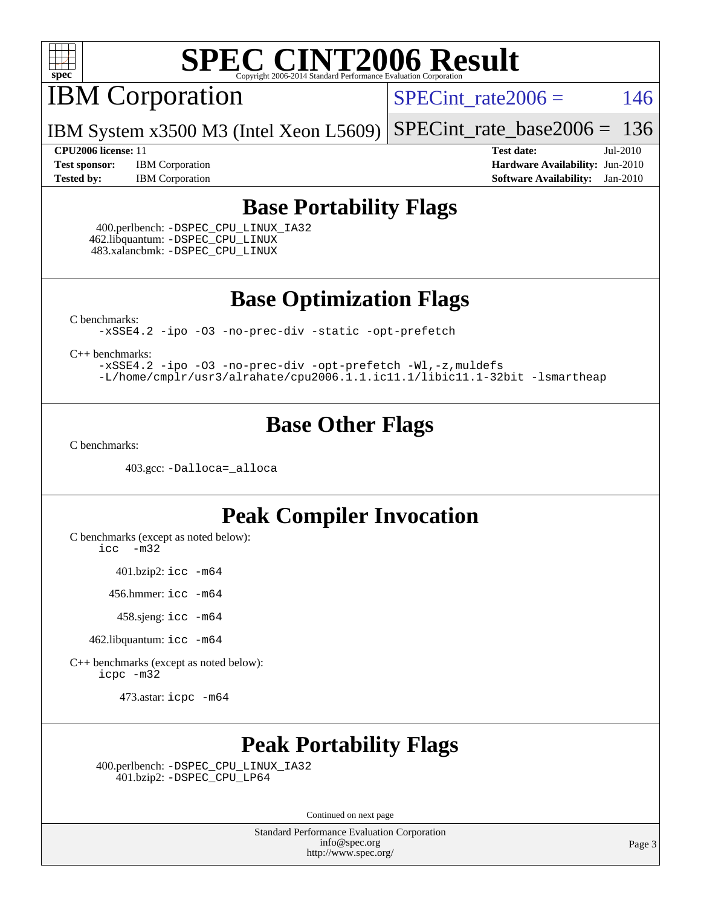

IBM Corporation

 $SPECTnt_rate2006 = 146$ 

IBM System x3500 M3 (Intel Xeon L5609) [SPECint\\_rate\\_base2006 =](http://www.spec.org/auto/cpu2006/Docs/result-fields.html#SPECintratebase2006) 136

**[Test sponsor:](http://www.spec.org/auto/cpu2006/Docs/result-fields.html#Testsponsor)** IBM Corporation **[Hardware Availability:](http://www.spec.org/auto/cpu2006/Docs/result-fields.html#HardwareAvailability)** Jun-2010 **[Tested by:](http://www.spec.org/auto/cpu2006/Docs/result-fields.html#Testedby)** IBM Corporation **[Software Availability:](http://www.spec.org/auto/cpu2006/Docs/result-fields.html#SoftwareAvailability)** Jan-2010

**[CPU2006 license:](http://www.spec.org/auto/cpu2006/Docs/result-fields.html#CPU2006license)** 11 **[Test date:](http://www.spec.org/auto/cpu2006/Docs/result-fields.html#Testdate)** Jul-2010

#### **[Base Portability Flags](http://www.spec.org/auto/cpu2006/Docs/result-fields.html#BasePortabilityFlags)**

 400.perlbench: [-DSPEC\\_CPU\\_LINUX\\_IA32](http://www.spec.org/cpu2006/results/res2010q3/cpu2006-20100802-12731.flags.html#b400.perlbench_baseCPORTABILITY_DSPEC_CPU_LINUX_IA32) 462.libquantum: [-DSPEC\\_CPU\\_LINUX](http://www.spec.org/cpu2006/results/res2010q3/cpu2006-20100802-12731.flags.html#b462.libquantum_baseCPORTABILITY_DSPEC_CPU_LINUX) 483.xalancbmk: [-DSPEC\\_CPU\\_LINUX](http://www.spec.org/cpu2006/results/res2010q3/cpu2006-20100802-12731.flags.html#b483.xalancbmk_baseCXXPORTABILITY_DSPEC_CPU_LINUX)

**[Base Optimization Flags](http://www.spec.org/auto/cpu2006/Docs/result-fields.html#BaseOptimizationFlags)**

[C benchmarks](http://www.spec.org/auto/cpu2006/Docs/result-fields.html#Cbenchmarks):

[-xSSE4.2](http://www.spec.org/cpu2006/results/res2010q3/cpu2006-20100802-12731.flags.html#user_CCbase_f-xSSE42_f91528193cf0b216347adb8b939d4107) [-ipo](http://www.spec.org/cpu2006/results/res2010q3/cpu2006-20100802-12731.flags.html#user_CCbase_f-ipo) [-O3](http://www.spec.org/cpu2006/results/res2010q3/cpu2006-20100802-12731.flags.html#user_CCbase_f-O3) [-no-prec-div](http://www.spec.org/cpu2006/results/res2010q3/cpu2006-20100802-12731.flags.html#user_CCbase_f-no-prec-div) [-static](http://www.spec.org/cpu2006/results/res2010q3/cpu2006-20100802-12731.flags.html#user_CCbase_f-static) [-opt-prefetch](http://www.spec.org/cpu2006/results/res2010q3/cpu2006-20100802-12731.flags.html#user_CCbase_f-opt-prefetch)

[C++ benchmarks:](http://www.spec.org/auto/cpu2006/Docs/result-fields.html#CXXbenchmarks)

[-xSSE4.2](http://www.spec.org/cpu2006/results/res2010q3/cpu2006-20100802-12731.flags.html#user_CXXbase_f-xSSE42_f91528193cf0b216347adb8b939d4107) [-ipo](http://www.spec.org/cpu2006/results/res2010q3/cpu2006-20100802-12731.flags.html#user_CXXbase_f-ipo) [-O3](http://www.spec.org/cpu2006/results/res2010q3/cpu2006-20100802-12731.flags.html#user_CXXbase_f-O3) [-no-prec-div](http://www.spec.org/cpu2006/results/res2010q3/cpu2006-20100802-12731.flags.html#user_CXXbase_f-no-prec-div) [-opt-prefetch](http://www.spec.org/cpu2006/results/res2010q3/cpu2006-20100802-12731.flags.html#user_CXXbase_f-opt-prefetch) [-Wl,-z,muldefs](http://www.spec.org/cpu2006/results/res2010q3/cpu2006-20100802-12731.flags.html#user_CXXbase_link_force_multiple1_74079c344b956b9658436fd1b6dd3a8a) [-L/home/cmplr/usr3/alrahate/cpu2006.1.1.ic11.1/libic11.1-32bit -lsmartheap](http://www.spec.org/cpu2006/results/res2010q3/cpu2006-20100802-12731.flags.html#user_CXXbase_SmartHeap_d86dffe4a79b79ef8890d5cce17030c3)

### **[Base Other Flags](http://www.spec.org/auto/cpu2006/Docs/result-fields.html#BaseOtherFlags)**

[C benchmarks](http://www.spec.org/auto/cpu2006/Docs/result-fields.html#Cbenchmarks):

403.gcc: [-Dalloca=\\_alloca](http://www.spec.org/cpu2006/results/res2010q3/cpu2006-20100802-12731.flags.html#b403.gcc_baseEXTRA_CFLAGS_Dalloca_be3056838c12de2578596ca5467af7f3)

### **[Peak Compiler Invocation](http://www.spec.org/auto/cpu2006/Docs/result-fields.html#PeakCompilerInvocation)**

[C benchmarks \(except as noted below\)](http://www.spec.org/auto/cpu2006/Docs/result-fields.html#Cbenchmarksexceptasnotedbelow):

[icc -m32](http://www.spec.org/cpu2006/results/res2010q3/cpu2006-20100802-12731.flags.html#user_CCpeak_intel_icc_32bit_5ff4a39e364c98233615fdd38438c6f2)

401.bzip2: [icc -m64](http://www.spec.org/cpu2006/results/res2010q3/cpu2006-20100802-12731.flags.html#user_peakCCLD401_bzip2_intel_icc_64bit_bda6cc9af1fdbb0edc3795bac97ada53)

456.hmmer: [icc -m64](http://www.spec.org/cpu2006/results/res2010q3/cpu2006-20100802-12731.flags.html#user_peakCCLD456_hmmer_intel_icc_64bit_bda6cc9af1fdbb0edc3795bac97ada53)

458.sjeng: [icc -m64](http://www.spec.org/cpu2006/results/res2010q3/cpu2006-20100802-12731.flags.html#user_peakCCLD458_sjeng_intel_icc_64bit_bda6cc9af1fdbb0edc3795bac97ada53)

462.libquantum: [icc -m64](http://www.spec.org/cpu2006/results/res2010q3/cpu2006-20100802-12731.flags.html#user_peakCCLD462_libquantum_intel_icc_64bit_bda6cc9af1fdbb0edc3795bac97ada53)

[C++ benchmarks \(except as noted below\):](http://www.spec.org/auto/cpu2006/Docs/result-fields.html#CXXbenchmarksexceptasnotedbelow) [icpc -m32](http://www.spec.org/cpu2006/results/res2010q3/cpu2006-20100802-12731.flags.html#user_CXXpeak_intel_icpc_32bit_4e5a5ef1a53fd332b3c49e69c3330699)

473.astar: [icpc -m64](http://www.spec.org/cpu2006/results/res2010q3/cpu2006-20100802-12731.flags.html#user_peakCXXLD473_astar_intel_icpc_64bit_fc66a5337ce925472a5c54ad6a0de310)

### **[Peak Portability Flags](http://www.spec.org/auto/cpu2006/Docs/result-fields.html#PeakPortabilityFlags)**

 400.perlbench: [-DSPEC\\_CPU\\_LINUX\\_IA32](http://www.spec.org/cpu2006/results/res2010q3/cpu2006-20100802-12731.flags.html#b400.perlbench_peakCPORTABILITY_DSPEC_CPU_LINUX_IA32) 401.bzip2: [-DSPEC\\_CPU\\_LP64](http://www.spec.org/cpu2006/results/res2010q3/cpu2006-20100802-12731.flags.html#suite_peakCPORTABILITY401_bzip2_DSPEC_CPU_LP64)

Continued on next page

Standard Performance Evaluation Corporation [info@spec.org](mailto:info@spec.org) <http://www.spec.org/>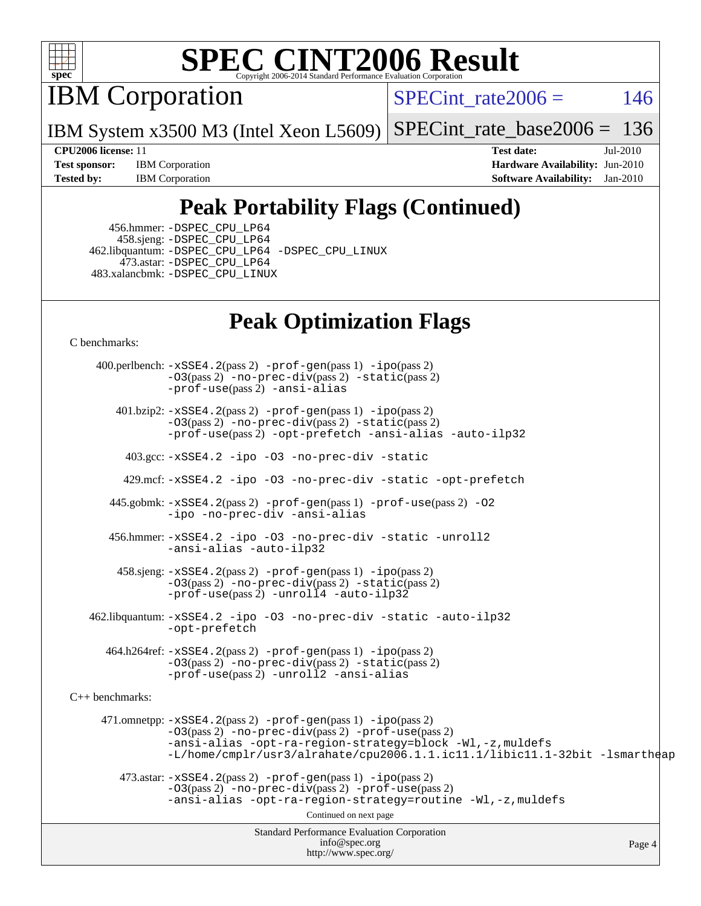

IBM Corporation

SPECint rate $2006 = 146$ 

IBM System x3500 M3 (Intel Xeon L5609) [SPECint\\_rate\\_base2006 =](http://www.spec.org/auto/cpu2006/Docs/result-fields.html#SPECintratebase2006) 136

**[Test sponsor:](http://www.spec.org/auto/cpu2006/Docs/result-fields.html#Testsponsor)** IBM Corporation **[Hardware Availability:](http://www.spec.org/auto/cpu2006/Docs/result-fields.html#HardwareAvailability)** Jun-2010 **[Tested by:](http://www.spec.org/auto/cpu2006/Docs/result-fields.html#Testedby)** IBM Corporation **[Software Availability:](http://www.spec.org/auto/cpu2006/Docs/result-fields.html#SoftwareAvailability)** Jan-2010

**[CPU2006 license:](http://www.spec.org/auto/cpu2006/Docs/result-fields.html#CPU2006license)** 11 **[Test date:](http://www.spec.org/auto/cpu2006/Docs/result-fields.html#Testdate)** Jul-2010

## **[Peak Portability Flags \(Continued\)](http://www.spec.org/auto/cpu2006/Docs/result-fields.html#PeakPortabilityFlags)**

 456.hmmer: [-DSPEC\\_CPU\\_LP64](http://www.spec.org/cpu2006/results/res2010q3/cpu2006-20100802-12731.flags.html#suite_peakCPORTABILITY456_hmmer_DSPEC_CPU_LP64) 458.sjeng: [-DSPEC\\_CPU\\_LP64](http://www.spec.org/cpu2006/results/res2010q3/cpu2006-20100802-12731.flags.html#suite_peakCPORTABILITY458_sjeng_DSPEC_CPU_LP64) 462.libquantum: [-DSPEC\\_CPU\\_LP64](http://www.spec.org/cpu2006/results/res2010q3/cpu2006-20100802-12731.flags.html#suite_peakCPORTABILITY462_libquantum_DSPEC_CPU_LP64) [-DSPEC\\_CPU\\_LINUX](http://www.spec.org/cpu2006/results/res2010q3/cpu2006-20100802-12731.flags.html#b462.libquantum_peakCPORTABILITY_DSPEC_CPU_LINUX) 473.astar: [-DSPEC\\_CPU\\_LP64](http://www.spec.org/cpu2006/results/res2010q3/cpu2006-20100802-12731.flags.html#suite_peakCXXPORTABILITY473_astar_DSPEC_CPU_LP64) 483.xalancbmk: [-DSPEC\\_CPU\\_LINUX](http://www.spec.org/cpu2006/results/res2010q3/cpu2006-20100802-12731.flags.html#b483.xalancbmk_peakCXXPORTABILITY_DSPEC_CPU_LINUX)

### **[Peak Optimization Flags](http://www.spec.org/auto/cpu2006/Docs/result-fields.html#PeakOptimizationFlags)**

[C benchmarks](http://www.spec.org/auto/cpu2006/Docs/result-fields.html#Cbenchmarks):

Standard Performance Evaluation Corporation [info@spec.org](mailto:info@spec.org) <http://www.spec.org/> Page 4 400.perlbench: [-xSSE4.2](http://www.spec.org/cpu2006/results/res2010q3/cpu2006-20100802-12731.flags.html#user_peakPASS2_CFLAGSPASS2_LDCFLAGS400_perlbench_f-xSSE42_f91528193cf0b216347adb8b939d4107)(pass 2) [-prof-gen](http://www.spec.org/cpu2006/results/res2010q3/cpu2006-20100802-12731.flags.html#user_peakPASS1_CFLAGSPASS1_LDCFLAGS400_perlbench_prof_gen_e43856698f6ca7b7e442dfd80e94a8fc)(pass 1) [-ipo](http://www.spec.org/cpu2006/results/res2010q3/cpu2006-20100802-12731.flags.html#user_peakPASS2_CFLAGSPASS2_LDCFLAGS400_perlbench_f-ipo)(pass 2) [-O3](http://www.spec.org/cpu2006/results/res2010q3/cpu2006-20100802-12731.flags.html#user_peakPASS2_CFLAGSPASS2_LDCFLAGS400_perlbench_f-O3)(pass 2) [-no-prec-div](http://www.spec.org/cpu2006/results/res2010q3/cpu2006-20100802-12731.flags.html#user_peakPASS2_CFLAGSPASS2_LDCFLAGS400_perlbench_f-no-prec-div)(pass 2) [-static](http://www.spec.org/cpu2006/results/res2010q3/cpu2006-20100802-12731.flags.html#user_peakPASS2_CFLAGSPASS2_LDCFLAGS400_perlbench_f-static)(pass 2) [-prof-use](http://www.spec.org/cpu2006/results/res2010q3/cpu2006-20100802-12731.flags.html#user_peakPASS2_CFLAGSPASS2_LDCFLAGS400_perlbench_prof_use_bccf7792157ff70d64e32fe3e1250b55)(pass 2) [-ansi-alias](http://www.spec.org/cpu2006/results/res2010q3/cpu2006-20100802-12731.flags.html#user_peakCOPTIMIZE400_perlbench_f-ansi-alias) 401.bzip2: [-xSSE4.2](http://www.spec.org/cpu2006/results/res2010q3/cpu2006-20100802-12731.flags.html#user_peakPASS2_CFLAGSPASS2_LDCFLAGS401_bzip2_f-xSSE42_f91528193cf0b216347adb8b939d4107)(pass 2) [-prof-gen](http://www.spec.org/cpu2006/results/res2010q3/cpu2006-20100802-12731.flags.html#user_peakPASS1_CFLAGSPASS1_LDCFLAGS401_bzip2_prof_gen_e43856698f6ca7b7e442dfd80e94a8fc)(pass 1) [-ipo](http://www.spec.org/cpu2006/results/res2010q3/cpu2006-20100802-12731.flags.html#user_peakPASS2_CFLAGSPASS2_LDCFLAGS401_bzip2_f-ipo)(pass 2) [-O3](http://www.spec.org/cpu2006/results/res2010q3/cpu2006-20100802-12731.flags.html#user_peakPASS2_CFLAGSPASS2_LDCFLAGS401_bzip2_f-O3)(pass 2) [-no-prec-div](http://www.spec.org/cpu2006/results/res2010q3/cpu2006-20100802-12731.flags.html#user_peakPASS2_CFLAGSPASS2_LDCFLAGS401_bzip2_f-no-prec-div)(pass 2) [-static](http://www.spec.org/cpu2006/results/res2010q3/cpu2006-20100802-12731.flags.html#user_peakPASS2_CFLAGSPASS2_LDCFLAGS401_bzip2_f-static)(pass 2) [-prof-use](http://www.spec.org/cpu2006/results/res2010q3/cpu2006-20100802-12731.flags.html#user_peakPASS2_CFLAGSPASS2_LDCFLAGS401_bzip2_prof_use_bccf7792157ff70d64e32fe3e1250b55)(pass 2) [-opt-prefetch](http://www.spec.org/cpu2006/results/res2010q3/cpu2006-20100802-12731.flags.html#user_peakCOPTIMIZE401_bzip2_f-opt-prefetch) [-ansi-alias](http://www.spec.org/cpu2006/results/res2010q3/cpu2006-20100802-12731.flags.html#user_peakCOPTIMIZE401_bzip2_f-ansi-alias) [-auto-ilp32](http://www.spec.org/cpu2006/results/res2010q3/cpu2006-20100802-12731.flags.html#user_peakCOPTIMIZE401_bzip2_f-auto-ilp32) 403.gcc: [-xSSE4.2](http://www.spec.org/cpu2006/results/res2010q3/cpu2006-20100802-12731.flags.html#user_peakCOPTIMIZE403_gcc_f-xSSE42_f91528193cf0b216347adb8b939d4107) [-ipo](http://www.spec.org/cpu2006/results/res2010q3/cpu2006-20100802-12731.flags.html#user_peakCOPTIMIZE403_gcc_f-ipo) [-O3](http://www.spec.org/cpu2006/results/res2010q3/cpu2006-20100802-12731.flags.html#user_peakCOPTIMIZE403_gcc_f-O3) [-no-prec-div](http://www.spec.org/cpu2006/results/res2010q3/cpu2006-20100802-12731.flags.html#user_peakCOPTIMIZE403_gcc_f-no-prec-div) [-static](http://www.spec.org/cpu2006/results/res2010q3/cpu2006-20100802-12731.flags.html#user_peakCOPTIMIZE403_gcc_f-static) 429.mcf: [-xSSE4.2](http://www.spec.org/cpu2006/results/res2010q3/cpu2006-20100802-12731.flags.html#user_peakCOPTIMIZE429_mcf_f-xSSE42_f91528193cf0b216347adb8b939d4107) [-ipo](http://www.spec.org/cpu2006/results/res2010q3/cpu2006-20100802-12731.flags.html#user_peakCOPTIMIZE429_mcf_f-ipo) [-O3](http://www.spec.org/cpu2006/results/res2010q3/cpu2006-20100802-12731.flags.html#user_peakCOPTIMIZE429_mcf_f-O3) [-no-prec-div](http://www.spec.org/cpu2006/results/res2010q3/cpu2006-20100802-12731.flags.html#user_peakCOPTIMIZE429_mcf_f-no-prec-div) [-static](http://www.spec.org/cpu2006/results/res2010q3/cpu2006-20100802-12731.flags.html#user_peakCOPTIMIZE429_mcf_f-static) [-opt-prefetch](http://www.spec.org/cpu2006/results/res2010q3/cpu2006-20100802-12731.flags.html#user_peakCOPTIMIZE429_mcf_f-opt-prefetch) 445.gobmk: [-xSSE4.2](http://www.spec.org/cpu2006/results/res2010q3/cpu2006-20100802-12731.flags.html#user_peakPASS2_CFLAGSPASS2_LDCFLAGS445_gobmk_f-xSSE42_f91528193cf0b216347adb8b939d4107)(pass 2) [-prof-gen](http://www.spec.org/cpu2006/results/res2010q3/cpu2006-20100802-12731.flags.html#user_peakPASS1_CFLAGSPASS1_LDCFLAGS445_gobmk_prof_gen_e43856698f6ca7b7e442dfd80e94a8fc)(pass 1) [-prof-use](http://www.spec.org/cpu2006/results/res2010q3/cpu2006-20100802-12731.flags.html#user_peakPASS2_CFLAGSPASS2_LDCFLAGS445_gobmk_prof_use_bccf7792157ff70d64e32fe3e1250b55)(pass 2) [-O2](http://www.spec.org/cpu2006/results/res2010q3/cpu2006-20100802-12731.flags.html#user_peakCOPTIMIZE445_gobmk_f-O2) [-ipo](http://www.spec.org/cpu2006/results/res2010q3/cpu2006-20100802-12731.flags.html#user_peakCOPTIMIZE445_gobmk_f-ipo) [-no-prec-div](http://www.spec.org/cpu2006/results/res2010q3/cpu2006-20100802-12731.flags.html#user_peakCOPTIMIZE445_gobmk_f-no-prec-div) [-ansi-alias](http://www.spec.org/cpu2006/results/res2010q3/cpu2006-20100802-12731.flags.html#user_peakCOPTIMIZE445_gobmk_f-ansi-alias) 456.hmmer: [-xSSE4.2](http://www.spec.org/cpu2006/results/res2010q3/cpu2006-20100802-12731.flags.html#user_peakCOPTIMIZE456_hmmer_f-xSSE42_f91528193cf0b216347adb8b939d4107) [-ipo](http://www.spec.org/cpu2006/results/res2010q3/cpu2006-20100802-12731.flags.html#user_peakCOPTIMIZE456_hmmer_f-ipo) [-O3](http://www.spec.org/cpu2006/results/res2010q3/cpu2006-20100802-12731.flags.html#user_peakCOPTIMIZE456_hmmer_f-O3) [-no-prec-div](http://www.spec.org/cpu2006/results/res2010q3/cpu2006-20100802-12731.flags.html#user_peakCOPTIMIZE456_hmmer_f-no-prec-div) [-static](http://www.spec.org/cpu2006/results/res2010q3/cpu2006-20100802-12731.flags.html#user_peakCOPTIMIZE456_hmmer_f-static) [-unroll2](http://www.spec.org/cpu2006/results/res2010q3/cpu2006-20100802-12731.flags.html#user_peakCOPTIMIZE456_hmmer_f-unroll_784dae83bebfb236979b41d2422d7ec2) [-ansi-alias](http://www.spec.org/cpu2006/results/res2010q3/cpu2006-20100802-12731.flags.html#user_peakCOPTIMIZE456_hmmer_f-ansi-alias) [-auto-ilp32](http://www.spec.org/cpu2006/results/res2010q3/cpu2006-20100802-12731.flags.html#user_peakCOPTIMIZE456_hmmer_f-auto-ilp32) 458.sjeng: [-xSSE4.2](http://www.spec.org/cpu2006/results/res2010q3/cpu2006-20100802-12731.flags.html#user_peakPASS2_CFLAGSPASS2_LDCFLAGS458_sjeng_f-xSSE42_f91528193cf0b216347adb8b939d4107)(pass 2) [-prof-gen](http://www.spec.org/cpu2006/results/res2010q3/cpu2006-20100802-12731.flags.html#user_peakPASS1_CFLAGSPASS1_LDCFLAGS458_sjeng_prof_gen_e43856698f6ca7b7e442dfd80e94a8fc)(pass 1) [-ipo](http://www.spec.org/cpu2006/results/res2010q3/cpu2006-20100802-12731.flags.html#user_peakPASS2_CFLAGSPASS2_LDCFLAGS458_sjeng_f-ipo)(pass 2) [-O3](http://www.spec.org/cpu2006/results/res2010q3/cpu2006-20100802-12731.flags.html#user_peakPASS2_CFLAGSPASS2_LDCFLAGS458_sjeng_f-O3)(pass 2) [-no-prec-div](http://www.spec.org/cpu2006/results/res2010q3/cpu2006-20100802-12731.flags.html#user_peakPASS2_CFLAGSPASS2_LDCFLAGS458_sjeng_f-no-prec-div)(pass 2) [-static](http://www.spec.org/cpu2006/results/res2010q3/cpu2006-20100802-12731.flags.html#user_peakPASS2_CFLAGSPASS2_LDCFLAGS458_sjeng_f-static)(pass 2) [-prof-use](http://www.spec.org/cpu2006/results/res2010q3/cpu2006-20100802-12731.flags.html#user_peakPASS2_CFLAGSPASS2_LDCFLAGS458_sjeng_prof_use_bccf7792157ff70d64e32fe3e1250b55)(pass 2) [-unroll4](http://www.spec.org/cpu2006/results/res2010q3/cpu2006-20100802-12731.flags.html#user_peakCOPTIMIZE458_sjeng_f-unroll_4e5e4ed65b7fd20bdcd365bec371b81f) [-auto-ilp32](http://www.spec.org/cpu2006/results/res2010q3/cpu2006-20100802-12731.flags.html#user_peakCOPTIMIZE458_sjeng_f-auto-ilp32) 462.libquantum: [-xSSE4.2](http://www.spec.org/cpu2006/results/res2010q3/cpu2006-20100802-12731.flags.html#user_peakCOPTIMIZE462_libquantum_f-xSSE42_f91528193cf0b216347adb8b939d4107) [-ipo](http://www.spec.org/cpu2006/results/res2010q3/cpu2006-20100802-12731.flags.html#user_peakCOPTIMIZE462_libquantum_f-ipo) [-O3](http://www.spec.org/cpu2006/results/res2010q3/cpu2006-20100802-12731.flags.html#user_peakCOPTIMIZE462_libquantum_f-O3) [-no-prec-div](http://www.spec.org/cpu2006/results/res2010q3/cpu2006-20100802-12731.flags.html#user_peakCOPTIMIZE462_libquantum_f-no-prec-div) [-static](http://www.spec.org/cpu2006/results/res2010q3/cpu2006-20100802-12731.flags.html#user_peakCOPTIMIZE462_libquantum_f-static) [-auto-ilp32](http://www.spec.org/cpu2006/results/res2010q3/cpu2006-20100802-12731.flags.html#user_peakCOPTIMIZE462_libquantum_f-auto-ilp32) [-opt-prefetch](http://www.spec.org/cpu2006/results/res2010q3/cpu2006-20100802-12731.flags.html#user_peakCOPTIMIZE462_libquantum_f-opt-prefetch) 464.h264ref: [-xSSE4.2](http://www.spec.org/cpu2006/results/res2010q3/cpu2006-20100802-12731.flags.html#user_peakPASS2_CFLAGSPASS2_LDCFLAGS464_h264ref_f-xSSE42_f91528193cf0b216347adb8b939d4107)(pass 2) [-prof-gen](http://www.spec.org/cpu2006/results/res2010q3/cpu2006-20100802-12731.flags.html#user_peakPASS1_CFLAGSPASS1_LDCFLAGS464_h264ref_prof_gen_e43856698f6ca7b7e442dfd80e94a8fc)(pass 1) [-ipo](http://www.spec.org/cpu2006/results/res2010q3/cpu2006-20100802-12731.flags.html#user_peakPASS2_CFLAGSPASS2_LDCFLAGS464_h264ref_f-ipo)(pass 2) [-O3](http://www.spec.org/cpu2006/results/res2010q3/cpu2006-20100802-12731.flags.html#user_peakPASS2_CFLAGSPASS2_LDCFLAGS464_h264ref_f-O3)(pass 2) [-no-prec-div](http://www.spec.org/cpu2006/results/res2010q3/cpu2006-20100802-12731.flags.html#user_peakPASS2_CFLAGSPASS2_LDCFLAGS464_h264ref_f-no-prec-div)(pass 2) [-static](http://www.spec.org/cpu2006/results/res2010q3/cpu2006-20100802-12731.flags.html#user_peakPASS2_CFLAGSPASS2_LDCFLAGS464_h264ref_f-static)(pass 2) [-prof-use](http://www.spec.org/cpu2006/results/res2010q3/cpu2006-20100802-12731.flags.html#user_peakPASS2_CFLAGSPASS2_LDCFLAGS464_h264ref_prof_use_bccf7792157ff70d64e32fe3e1250b55)(pass 2) [-unroll2](http://www.spec.org/cpu2006/results/res2010q3/cpu2006-20100802-12731.flags.html#user_peakCOPTIMIZE464_h264ref_f-unroll_784dae83bebfb236979b41d2422d7ec2) [-ansi-alias](http://www.spec.org/cpu2006/results/res2010q3/cpu2006-20100802-12731.flags.html#user_peakCOPTIMIZE464_h264ref_f-ansi-alias) [C++ benchmarks:](http://www.spec.org/auto/cpu2006/Docs/result-fields.html#CXXbenchmarks) 471.omnetpp: [-xSSE4.2](http://www.spec.org/cpu2006/results/res2010q3/cpu2006-20100802-12731.flags.html#user_peakPASS2_CXXFLAGSPASS2_LDCXXFLAGS471_omnetpp_f-xSSE42_f91528193cf0b216347adb8b939d4107)(pass 2) [-prof-gen](http://www.spec.org/cpu2006/results/res2010q3/cpu2006-20100802-12731.flags.html#user_peakPASS1_CXXFLAGSPASS1_LDCXXFLAGS471_omnetpp_prof_gen_e43856698f6ca7b7e442dfd80e94a8fc)(pass 1) [-ipo](http://www.spec.org/cpu2006/results/res2010q3/cpu2006-20100802-12731.flags.html#user_peakPASS2_CXXFLAGSPASS2_LDCXXFLAGS471_omnetpp_f-ipo)(pass 2) [-O3](http://www.spec.org/cpu2006/results/res2010q3/cpu2006-20100802-12731.flags.html#user_peakPASS2_CXXFLAGSPASS2_LDCXXFLAGS471_omnetpp_f-O3)(pass 2) [-no-prec-div](http://www.spec.org/cpu2006/results/res2010q3/cpu2006-20100802-12731.flags.html#user_peakPASS2_CXXFLAGSPASS2_LDCXXFLAGS471_omnetpp_f-no-prec-div)(pass 2) [-prof-use](http://www.spec.org/cpu2006/results/res2010q3/cpu2006-20100802-12731.flags.html#user_peakPASS2_CXXFLAGSPASS2_LDCXXFLAGS471_omnetpp_prof_use_bccf7792157ff70d64e32fe3e1250b55)(pass 2) [-ansi-alias](http://www.spec.org/cpu2006/results/res2010q3/cpu2006-20100802-12731.flags.html#user_peakCXXOPTIMIZE471_omnetpp_f-ansi-alias) [-opt-ra-region-strategy=block](http://www.spec.org/cpu2006/results/res2010q3/cpu2006-20100802-12731.flags.html#user_peakCXXOPTIMIZE471_omnetpp_f-opt-ra-region-strategy-block_a0a37c372d03933b2a18d4af463c1f69) [-Wl,-z,muldefs](http://www.spec.org/cpu2006/results/res2010q3/cpu2006-20100802-12731.flags.html#user_peakEXTRA_LDFLAGS471_omnetpp_link_force_multiple1_74079c344b956b9658436fd1b6dd3a8a) [-L/home/cmplr/usr3/alrahate/cpu2006.1.1.ic11.1/libic11.1-32bit -lsmartheap](http://www.spec.org/cpu2006/results/res2010q3/cpu2006-20100802-12731.flags.html#user_peakEXTRA_LIBS471_omnetpp_SmartHeap_d86dffe4a79b79ef8890d5cce17030c3)  $473.\text{astar: } -xSSE4$ .  $2(\text{pass 2})$   $-\text{prof-gen}(\text{pass 1})$   $-i\text{po}(\text{pass 2})$ [-O3](http://www.spec.org/cpu2006/results/res2010q3/cpu2006-20100802-12731.flags.html#user_peakPASS2_CXXFLAGSPASS2_LDCXXFLAGS473_astar_f-O3)(pass 2) [-no-prec-div](http://www.spec.org/cpu2006/results/res2010q3/cpu2006-20100802-12731.flags.html#user_peakPASS2_CXXFLAGSPASS2_LDCXXFLAGS473_astar_f-no-prec-div)(pass 2) [-prof-use](http://www.spec.org/cpu2006/results/res2010q3/cpu2006-20100802-12731.flags.html#user_peakPASS2_CXXFLAGSPASS2_LDCXXFLAGS473_astar_prof_use_bccf7792157ff70d64e32fe3e1250b55)(pass 2) [-ansi-alias](http://www.spec.org/cpu2006/results/res2010q3/cpu2006-20100802-12731.flags.html#user_peakCXXOPTIMIZE473_astar_f-ansi-alias) [-opt-ra-region-strategy=routine](http://www.spec.org/cpu2006/results/res2010q3/cpu2006-20100802-12731.flags.html#user_peakCXXOPTIMIZE473_astar_f-opt-ra-region-strategy-routine_ba086ea3b1d46a52e1238e2ca173ed44) [-Wl,-z,muldefs](http://www.spec.org/cpu2006/results/res2010q3/cpu2006-20100802-12731.flags.html#user_peakEXTRA_LDFLAGS473_astar_link_force_multiple1_74079c344b956b9658436fd1b6dd3a8a) Continued on next page